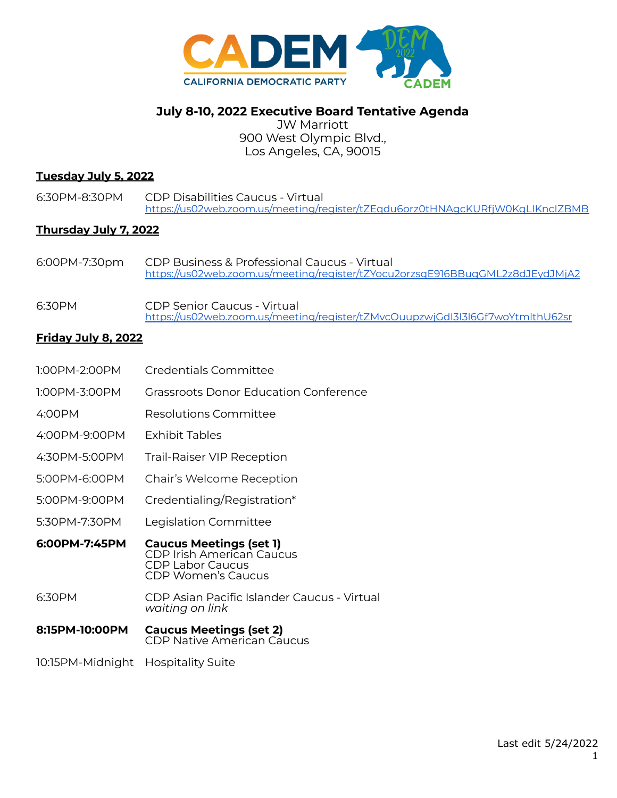

# **July 8-10, 2022 Executive Board Tentative Agenda**

JW Marriott 900 West Olympic Blvd., Los Angeles, CA, 90015

## **Tuesday July 5, 2022**

6:30PM-8:30PM CDP Disabilities Caucus - Virtual <https://us02web.zoom.us/meeting/register/tZEqdu6orz0tHNAgcKURfjW0KqLIKncIZBMB>

## **Thursday July 7, 2022**

- 6:00PM-7:30pm CDP Business & Professional Caucus Virtual <https://us02web.zoom.us/meeting/register/tZYocu2orzsqE916BBuqGML2z8dJEydJMjA2>
- 6:30PM CDP Senior Caucus Virtual <https://us02web.zoom.us/meeting/register/tZMvcOuupzwjGdI3I3l6Gf7woYtmlthU62sr>

## **Friday July 8, 2022**

- 1:00PM-2:00PM Credentials Committee 1:00PM-3:00PM Grassroots Donor Education Conference 4:00PM Resolutions Committee 4:00PM-9:00PM Exhibit Tables 4:30PM-5:00PM Trail-Raiser VIP Reception 5:00PM-6:00PM Chair's Welcome Reception 5:00PM-9:00PM Credentialing/Registration\* 5:30PM-7:30PM Legislation Committee **6:00PM-7:45PM Caucus Meetings (set 1)** CDP Irish American Caucus CDP Labor Caucus CDP Women's Caucus 6:30PM CDP Asian Pacific Islander Caucus - Virtual *waiting on link* **8:15PM-10:00PM Caucus Meetings (set 2)** CDP Native American Caucus
- 10:15PM-Midnight Hospitality Suite